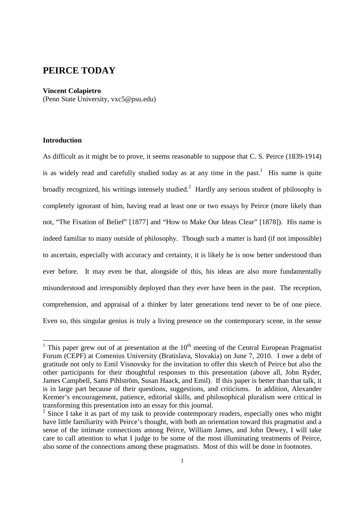# **PEIRCE TODAY**

#### **Vincent Colapietro**

(Penn State University, vxc5@psu.edu)

# **Introduction**

 $\overline{a}$ 

As difficult as it might be to prove, it seems reasonable to suppose that C. S. Peirce (1839-1914) is as widely read and carefully studied today as at any time in the past.<sup>1</sup> His name is quite broadly recognized, his writings intensely studied.<sup>2</sup> Hardly any serious student of philosophy is completely ignorant of him, having read at least one or two essays by Peirce (more likely than not, "The Fixation of Belief" [1877] and "How to Make Our Ideas Clear" [1878]). His name is indeed familiar to many outside of philosophy. Though such a matter is hard (if not impossible) to ascertain, especially with accuracy and certainty, it is likely he is now better understood than ever before. It may even be that, alongside of this, his ideas are also more fundamentally misunderstood and irresponsibly deployed than they ever have been in the past. The reception, comprehension, and appraisal of a thinker by later generations tend never to be of one piece. Even so, this singular genius is truly a living presence on the contemporary scene, in the sense

<sup>&</sup>lt;sup>1</sup> This paper grew out of at presentation at the  $10<sup>th</sup>$  meeting of the Central European Pragmatist Forum (CEPF) at Comenius University (Bratislava, Slovakia) on June 7, 2010. I owe a debt of gratitude not only to Emil Visnovsky for the invitation to offer this sketch of Peirce but also the other participants for their thoughtful responses to this presentation (above all, John Ryder, James Campbell, Sami Pihlström, Susan Haack, and Emil). If this paper is better than that talk, it is in large part because of their questions, suggestions, and criticisms. In addition, Alexander Kremer's encouragement, patience, editorial skills, and philosophical pluralism were critical in transforming this presentation into an essay for this journal.

<sup>&</sup>lt;sup>2</sup> Since I take it as part of my task to provide contemporary readers, especially ones who might have little familiarity with Peirce's thought, with both an orientation toward this pragmatist and a sense of the intimate connections among Peirce, William James, and John Dewey, I will take care to call attention to what I judge to be some of the most illuminating treatments of Peirce, also some of the connections among these pragmatists. Most of this will be done in footnotes.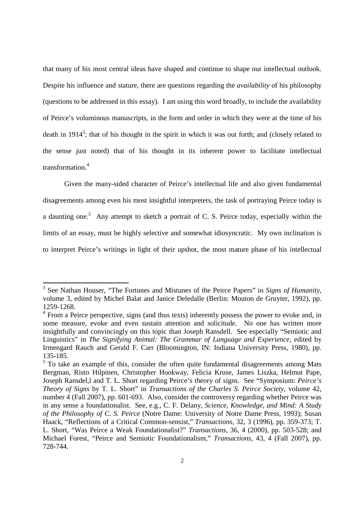that many of his most central ideas have shaped and continue to shape our intellectual outlook. Despite his influence and stature, there are questions regarding the *availability* of his philosophy (questions to be addressed in this essay). I am using this word broadly, to include the availability of Peirce's voluminous manuscripts, in the form and order in which they were at the time of his death in 1914<sup>3</sup>; that of his thought in the spirit in which it was out forth; and (closely related to the sense just noted) that of his thought in its inherent power to facilitate intellectual transformation.<sup>4</sup>

Given the many-sided character of Peirce's intellectual life and also given fundamental disagreements among even his most insightful interpreters, the task of portraying Peirce today is a daunting one.<sup>5</sup> Any attempt to sketch a portrait of C. S. Peirce today, especially within the limits of an essay, must be highly selective and somewhat idiosyncratic. My own inclination is to interpret Peirce's writings in light of their upshot, the most mature phase of his intellectual

<sup>3</sup> See Nathan Houser, "The Fortunes and Mistunes of the Peirce Papers" in *Signs of Humanity,* volume 3, edited by Michel Balat and Janice Deledalle (Berlin: Mouton de Gruyter, 1992), pp. 1259-1268.

<sup>&</sup>lt;sup>4</sup> From a Peirce perspective, signs (and thus texts) inherently possess the power to evoke and, in some measure, evoke and even sustain attention and solicitude. No one has written more insightfully and convincingly on this topic than Joseph Ransdell. See especially "Semiotic and Linguistics" in *The Signifying Animal: The Grammar of Language and Experience,* edited by Irmengard Rauch and Gerald F. Carr (Bloomington, IN: Indiana University Press, 1980), pp. 135-185.

 $<sup>5</sup>$  To take an example of this, consider the often quite fundamental disagreements among Mats</sup> Bergman, Risto Hilpinen, Christopher Hookway, Felicia Kruse, James Liszka, Helmut Pape, Joseph Ransdel,l and T. L. Short regarding Peirce's theory of signs. See "Symposium: *Peirce's Theory of Signs* by T. L. Short" in *Transactions of the Charles S. Peirce Society*, volume 42, number 4 (Fall 2007), pp. 601-693. Also, consider the controversy regarding whether Peirce was in any sense a foundationalist. See, e.g., C. F. Delany, *Science, Knowledge, and Mind: A Study of the Philosophy of C. S. Peirce* (Notre Dame: University of Notre Dame Press, 1993); Susan Haack, "Reflections of a Critical Common-sensist," *Transactions*, 32, 3 (1996), pp. 359-373; T. L. Short, "Was Peirce a Weak Foundationalist?" *Transactions*, 36, 4 (2000), pp. 503-528; and Michael Forest, "Peirce and Semiotic Foundationalism," *Transactions*, 43, 4 (Fall 2007), pp. 728-744.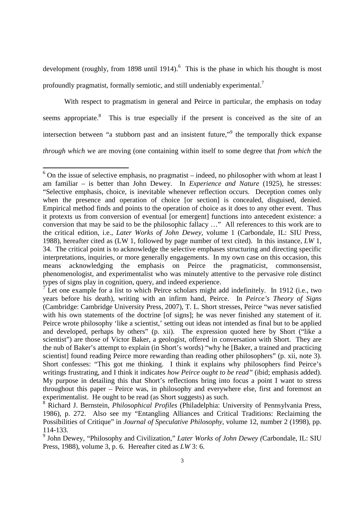development (roughly, from 1898 until 1914). <sup>6</sup> This is the phase in which his thought is most profoundly pragmatist, formally semiotic, and still undeniably experimental.<sup>7</sup>

With respect to pragmatism in general and Peirce in particular, the emphasis on today seems appropriate.<sup>8</sup> This is true especially if the present is conceived as the site of an intersection between "a stubborn past and an insistent future,"<sup>9</sup> the temporally thick expanse *through which* we are moving (one containing within itself to some degree that *from which* the

 $\overline{a}$ 

9 John Dewey, "Philosophy and Civilization," *Later Works of John Dewey (*Carbondale, IL: SIU Press, 1988), volume 3, p. 6. Hereafter cited as *LW* 3: 6.

 $6$  On the issue of selective emphasis, no pragmatist – indeed, no philosopher with whom at least I am familiar – is better than John Dewey. In *Experience and Nature* (1925), he stresses: "Selective emphasis, choice, is inevitable whenever reflection occurs. Deception comes only when the presence and operation of choice [or section] is concealed, disguised, denied. Empirical method finds and points to the operation of choice as it does to any other event. Thus it protexts us from conversion of eventual [or emergent] functions into antecedent existence: a conversion that may be said to be the philosophic fallacy …" All references to this work are to the critical edition, i.e., *Later Works of John Dewey,* volume 1 (Carbondale, IL: SIU Press, 1988), hereafter cited as (LW 1, followed by page number of text cited). In this instance, *LW* 1, 34. The critical point is to acknowledge the selective emphases structuring and directing specific interpretations, inquiries, or more generally engagements. In my own case on this occasion, this means acknowledging the emphasis on Peirce the pragmaticist, commonsensist, phenomenologist, and experimentalist who was minutely attentive to the pervasive role distinct types of signs play in cognition, query, and indeed experience.

 $\overline{7}$  Let one example for a list to which Peirce scholars might add indefinitely. In 1912 (i.e., two years before his death), writing with an infirm hand, Peirce. In *Peirce's Theory of Signs*  (Cambridge: Cambridge University Press, 2007), T. L. Short stresses, Peirce "was never satisfied with his own statements of the doctrine [of signs]; he was never finished any statement of it. Peirce wrote philosophy 'like a scientist,' setting out ideas not intended as final but to be applied and developed, perhaps by others" (p. xii). The expression quoted here by Short ("like a scientist") are those of Victor Baker, a geologist, offered in conversation with Short. They are the nub of Baker's attempt to explain (in Short's words) "why he [Baker, a trained and practicing scientist] found reading Peirce more rewarding than reading other philosophers" (p. xii, note 3). Short confesses: "This got me thinking. I think it explains why philosophers find Peirce's writings frustrating, and I think it indicates *how Peirce ought to be read"* (ibid; emphasis added). My purpose in detailing this that Short's reflections bring into focus a point I want to stress throughout this paper – Peirce was, in philosophy and everywhere else, first and foremost an experimentalist. He ought to be read (as Short suggests) as such.

<sup>8</sup> Richard J. Bernstein, *Philosophical Profiles* (Philadelphia: University of Pennsylvania Press, 1986), p. 272. Also see my "Entangling Alliances and Critical Traditions: Reclaiming the Possibilities of Critique" in *Journal of Speculative Philosophy,* volume 12, number 2 (1998), pp. 114-133.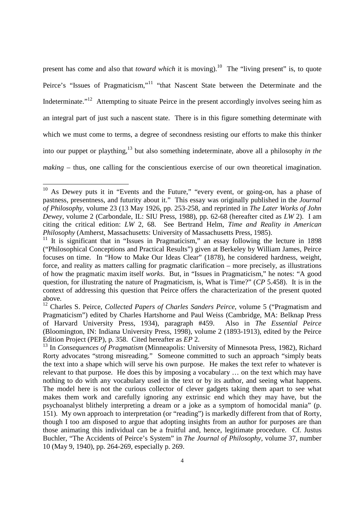present has come and also that *toward which* it is moving).<sup>10</sup> The "living present" is, to quote Peirce's "Issues of Pragmaticism,"<sup>11</sup> "that Nascent State between the Determinate and the Indeterminate."<sup>12</sup> Attempting to situate Peirce in the present accordingly involves seeing him as an integral part of just such a nascent state. There is in this figure something determinate with which we must come to terms, a degree of secondness resisting our efforts to make this thinker into our puppet or plaything,<sup>13</sup> but also something indeterminate, above all a philosophy *in the making* – thus, one calling for the conscientious exercise of our own theoretical imagination.

<sup>&</sup>lt;sup>10</sup> As Dewey puts it in "Events and the Future," "every event, or going-on, has a phase of pastness, presentness, and futurity about it." This essay was originally published in the *Journal of Philosophy,* volume 23 (13 May 1926, pp. 253-258, and reprinted in *The Later Works of John Dewey,* volume 2 (Carbondale, IL: SIU Press, 1988), pp. 62-68 (hereafter cited as *LW* 2). I am citing the critical edition: *LW* 2, 68. See Bertrand Helm, *Time and Reality in American Philosophy* (Amherst, Massachusetts: University of Massachusetts Press, 1985).

<sup>&</sup>lt;sup>11</sup> It is significant that in "Issues in Pragmaticism," an essay following the lecture in 1898 ("Philosophical Conceptions and Practical Results") given at Berkeley by William James, Peirce focuses on time. In "How to Make Our Ideas Clear" (1878), he considered hardness, weight, force, and reality as matters calling for pragmatic clarification – more precisely, as illustrations of how the pragmatic maxim itself *works*. But, in "Issues in Pragmaticism," he notes: "A good question, for illustrating the nature of Pragmaticism, is, What is Time?" (*CP* 5.458). It is in the context of addressing this question that Peirce offers the characterization of the present quoted above.

<sup>12</sup> Charles S. Peirce, *Collected Papers of Charles Sanders Peirce,* volume 5 ("Pragmatism and Pragmaticism") edited by Charles Hartshorne and Paul Weiss (Cambridge, MA: Belknap Press of Harvard University Press, 1934), paragraph #459. Also in *The Essential Peirce*  (Bloomington, IN: Indiana University Press, 1998)*,* volume 2 (1893-1913), edited by the Peirce Edition Project (PEP), p. 358. Cited hereafter as *EP* 2.

<sup>&</sup>lt;sup>13</sup> In *Consequences of Pragmatism* (Minneapolis: University of Minnesota Press, 1982), Richard Rorty advocates "strong misreading." Someone committed to such an approach "simply beats the text into a shape which will serve his own purpose. He makes the text refer to whatever is relevant to that purpose. He does this by imposing a vocabulary … on the text which may have nothing to do with any vocabulary used in the text or by its author, and seeing what happens. The model here is not the curious collector of clever gadgets taking them apart to see what makes them work and carefully ignoring any extrinsic end which they may have, but the psychoanalyst blithely interpreting a dream or a joke as a symptom of homocidal mania" (p. 151). My own approach to interpretation (or "reading") is markedly different from that of Rorty, though I too am disposed to argue that adopting insights from an author for purposes are than those animating this individual can be a fruitful and, hence, legitimate procedure. Cf. Justus Buchler, "The Accidents of Peirce's System" in *The Journal of Philosophy,* volume 37, number 10 (May 9, 1940), pp. 264-269, especially p. 269.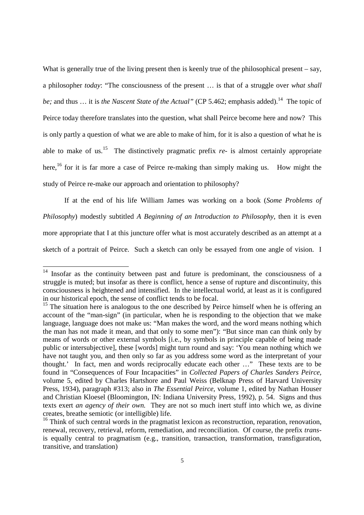What is generally true of the living present then is keenly true of the philosophical present – say, a philosopher *today*: "The consciousness of the present … is that of a struggle over *what shall be;* and thus ... it is *the Nascent State of the Actual*" (CP 5.462; emphasis added).<sup>14</sup> The topic of Peirce today therefore translates into the question, what shall Peirce become here and now? This is only partly a question of what we are able to make of him, for it is also a question of what he is able to make of us.<sup>15</sup> The distinctively pragmatic prefix  $re$ - is almost certainly appropriate here,<sup>16</sup> for it is far more a case of Peirce re-making than simply making us. How might the study of Peirce re-make our approach and orientation to philosophy?

If at the end of his life William James was working on a book (*Some Problems of Philosophy*) modestly subtitled *A Beginning of an Introduction to Philosophy*, then it is even more appropriate that I at this juncture offer what is most accurately described as an attempt at a sketch of a portrait of Peirce. Such a sketch can only be essayed from one angle of vision. I

<sup>&</sup>lt;sup>14</sup> Insofar as the continuity between past and future is predominant, the consciousness of a struggle is muted; but insofar as there is conflict, hence a sense of rupture and discontinuity, this consciousness is heightened and intensified. In the intellectual world, at least as it is configured in our historical epoch, the sense of conflict tends to be focal.

 $15$  The situation here is analogous to the one described by Peirce himself when he is offering an account of the "man-sign" (in particular, when he is responding to the objection that we make language, language does not make us: "Man makes the word, and the word means nothing which the man has not made it mean, and that only to some men"): "But since man can think only by means of words or other external symbols [i.e., by symbols in principle capable of being made public or intersubjective], these [words] might turn round and say: 'You mean nothing which we have not taught you, and then only so far as you address some word as the interpretant of your thought.' In fact, men and words reciprocally educate each other …" These texts are to be found in "Consequences of Four Incapacities" in *Collected Papers of Charles Sanders Peirce,* volume 5, edited by Charles Hartshore and Paul Weiss (Belknap Press of Harvard University Press, 1934), paragraph #313; also in *The Essential Peirce,* volume 1, edited by Nathan Houser and Christian Kloesel (Bloomington, IN: Indiana University Press, 1992), p. 54. Signs and thus texts exert *an agency of their own.* They are not so much inert stuff into which we, as divine creates, breathe semiotic (or intelligible) life.

<sup>&</sup>lt;sup>16</sup> Think of such central words in the pragmatist lexicon as reconstruction, reparation, renovation, renewal, recovery, retrieval, reform, remediation, and reconciliation. Of course, the prefix *trans*is equally central to pragmatism (e.g., transition, transaction, transformation, transfiguration, transitive, and translation)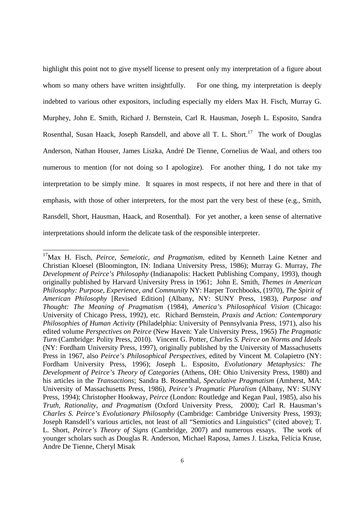highlight this point not to give myself license to present only my interpretation of a figure about whom so many others have written insightfully. For one thing, my interpretation is deeply indebted to various other expositors, including especially my elders Max H. Fisch, Murray G. Murphey, John E. Smith, Richard J. Bernstein, Carl R. Hausman, Joseph L. Esposito, Sandra Rosenthal, Susan Haack, Joseph Ransdell, and above all T. L. Short.<sup>17</sup> The work of Douglas Anderson, Nathan Houser, James Liszka, André De Tienne, Cornelius de Waal, and others too numerous to mention (for not doing so I apologize). For another thing, I do not take my interpretation to be simply mine. It squares in most respects, if not here and there in that of emphasis, with those of other interpreters, for the most part the very best of these (e.g., Smith, Ransdell, Short, Hausman, Haack, and Rosenthal). For yet another, a keen sense of alternative interpretations should inform the delicate task of the responsible interpreter.

<sup>17</sup>Max H. Fisch, *Peirce, Semeiotic, and Pragmatism,* edited by Kenneth Laine Ketner and Christian Kloesel (Bloomington, IN: Indiana University Press, 1986); Murray G. Murray, *The Development of Peirce's Philosophy* (Indianapolis: Hackett Publishing Company, 1993), though originally published by Harvard University Press in 1961; John E. Smith*, Themes in American Philosophy: Purpose, Experience, and Community* NY: Harper Torchbooks, (1970), *The Spirit of American Philosophy* [Revised Edition] (Albany, NY: SUNY Press, 1983)*, Purpose and Thought: The Meaning of Pragmatism* (1984), *America's Philosophical Vision* (Chicago: University of Chicago Press, 1992)*,* etc. Richard Bernstein, *Praxis and Action: Contemporary Philosophies of Human Activity* (Philadelphia: University of Pennsylvania Press, 1971), also his edited volume *Perspectives on Peirce* (New Haven: Yale University Press, 1965) *The Pragmatic Turn* (Cambridge: Polity Press, 2010). Vincent G. Potter, *Charles S. Peirce on Norms and Ideals* (NY: Fordham University Press, 1997), originally published by the University of Massachusetts Press in 1967, also *Peirce's Philosophical Perspectives,* edited by Vincent M. Colapietro (NY: Fordham University Press, 1996); Joseph L. Esposito, *Evolutionary Metaphysics: The Development of Peirce's Theory of Categories* (Athens, OH: Ohio University Press, 1980) and his articles in the *Transactions*; Sandra B. Rosenthal, *Speculative Pragmatism* (Amherst, MA: University of Massachusetts Press, 1986)*, Peirce's Pragmatic Pluralism* (Albany, NY: SUNY Press, 1994); Christopher Hookway, *Peirce* (London: Routledge and Kegan Paul, 1985), also his *Truth, Rationality, and Pragmatism* (Oxford University Press, 2000); Carl R. Hausman's *Charles S. Peirce's Evolutionary Philosophy* (Cambridge: Cambridge University Press, 1993); Joseph Ransdell's various articles, not least of all "Semiotics and Linguistics" (cited above); T. L. Short, *Peirce's Theory of Signs* (Cambridge, 2007) and numerous essays. The work of younger scholars such as Douglas R. Anderson, Michael Raposa, James J. Liszka, Felicia Kruse, Andre De Tienne, Cheryl Misak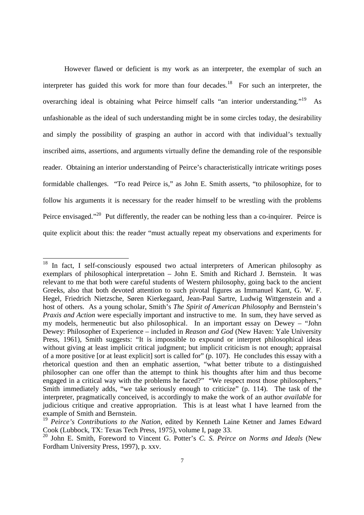However flawed or deficient is my work as an interpreter, the exemplar of such an interpreter has guided this work for more than four decades.<sup>18</sup> For such an interpreter, the overarching ideal is obtaining what Peirce himself calls "an interior understanding."<sup>19</sup> As unfashionable as the ideal of such understanding might be in some circles today, the desirability and simply the possibility of grasping an author in accord with that individual's textually inscribed aims, assertions, and arguments virtually define the demanding role of the responsible reader. Obtaining an interior understanding of Peirce's characteristically intricate writings poses formidable challenges. "To read Peirce is," as John E. Smith asserts, "to philosophize, for to follow his arguments it is necessary for the reader himself to be wrestling with the problems Peirce envisaged."<sup>20</sup> Put differently, the reader can be nothing less than a co-inquirer. Peirce is quite explicit about this: the reader "must actually repeat my observations and experiments for

In fact, I self-consciously espoused two actual interpreters of American philosophy as exemplars of philosophical interpretation – John E. Smith and Richard J. Bernstein. It was relevant to me that both were careful students of Western philosophy, going back to the ancient Greeks, also that both devoted attention to such pivotal figures as Immanuel Kant, G. W. F. Hegel, Friedrich Nietzsche, Søren Kierkegaard, Jean-Paul Sartre, Ludwig Wittgenstein and a host of others. As a young scholar, Smith's *The Spirit of American Philosophy* and Bernstein's *Praxis and Action* were especially important and instructive to me. In sum, they have served as my models, hermeneutic but also philosophical. In an important essay on Dewey – "John Dewey: Philosopher of Experience – included in *Reason and God* (New Haven: Yale University Press, 1961), Smith suggests: "It is impossible to expound or interpret philosophical ideas without giving at least implicit critical judgment; but implicit criticism is not enough; appraisal of a more positive [or at least explicit] sort is called for" (p. 107). He concludes this essay with a rhetorical question and then an emphatic assertion, "what better tribute to a distinguished philosopher can one offer than the attempt to think his thoughts after him and thus become engaged in a critical way with the problems he faced?" "We respect most those philosophers," Smith immediately adds, "we take seriously enough to criticize" (p. 114). The task of the interpreter, pragmatically conceived, is accordingly to make the work of an author *available* for judicious critique and creative appropriation. This is at least what I have learned from the example of Smith and Bernstein.

<sup>19</sup> *Peirce's Contributions to the Nation,* edited by Kenneth Laine Ketner and James Edward Cook (Lubbock, TX: Texas Tech Press, 1975), volume I, page 33.

<sup>20</sup> John E. Smith, Foreword to Vincent G. Potter's *C. S. Peirce on Norms and Ideals* (New Fordham University Press, 1997), p. xxv.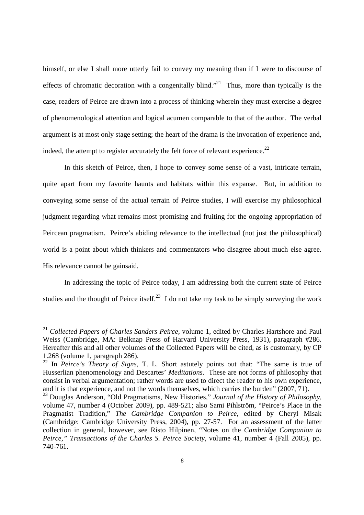himself, or else I shall more utterly fail to convey my meaning than if I were to discourse of effects of chromatic decoration with a congenitally blind."<sup>21</sup> Thus, more than typically is the case, readers of Peirce are drawn into a process of thinking wherein they must exercise a degree of phenomenological attention and logical acumen comparable to that of the author. The verbal argument is at most only stage setting; the heart of the drama is the invocation of experience and, indeed, the attempt to register accurately the felt force of relevant experience.<sup>22</sup>

In this sketch of Peirce, then, I hope to convey some sense of a vast, intricate terrain, quite apart from my favorite haunts and habitats within this expanse. But, in addition to conveying some sense of the actual terrain of Peirce studies, I will exercise my philosophical judgment regarding what remains most promising and fruiting for the ongoing appropriation of Peircean pragmatism. Peirce's abiding relevance to the intellectual (not just the philosophical) world is a point about which thinkers and commentators who disagree about much else agree. His relevance cannot be gainsaid.

 In addressing the topic of Peirce today, I am addressing both the current state of Peirce studies and the thought of Peirce itself.<sup>23</sup> I do not take my task to be simply surveying the work

<sup>21</sup> *Collected Papers of Charles Sanders Peirce,* volume 1, edited by Charles Hartshore and Paul Weiss (Cambridge, MA: Belknap Press of Harvard University Press, 1931), paragraph #286. Hereafter this and all other volumes of the Collected Papers will be cited, as is customary, by CP 1.268 (volume 1, paragraph 286).

<sup>22</sup> In *Peirce's Theory of Signs,* T. L. Short astutely points out that: "The same is true of Husserlian phenomenology and Descartes' *Meditations*. These are not forms of philosophy that consist in verbal argumentation; rather words are used to direct the reader to his own experience, and it is that experience, and not the words themselves, which carries the burden" (2007, 71).

<sup>23</sup> Douglas Anderson, "Old Pragmatisms, New Histories," *Journal of the History of Philosophy,* volume 47, number 4 (October 2009), pp. 489-521; also Sami Pihlström, "Peirce's Place in the Pragmatist Tradition," *The Cambridge Companion to Peirce,* edited by Cheryl Misak (Cambridge: Cambridge University Press, 2004), pp. 27-57. For an assessment of the latter collection in general, however, see Risto Hilpinen, "Notes on the *Cambridge Companion to Peirce," Transactions of the Charles S. Peirce Society*, volume 41, number 4 (Fall 2005), pp. 740-761.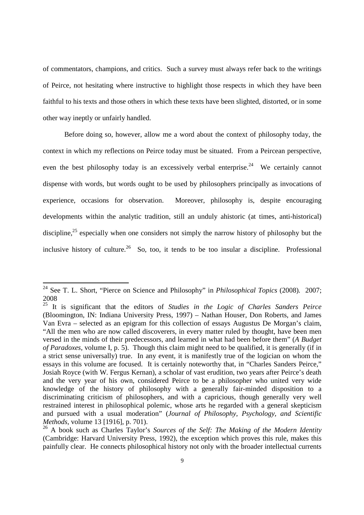of commentators, champions, and critics. Such a survey must always refer back to the writings of Peirce, not hesitating where instructive to highlight those respects in which they have been faithful to his texts and those others in which these texts have been slighted, distorted, or in some other way ineptly or unfairly handled.

Before doing so, however, allow me a word about the context of philosophy today, the context in which my reflections on Peirce today must be situated. From a Peircean perspective, even the best philosophy today is an excessively verbal enterprise.<sup>24</sup> We certainly cannot dispense with words, but words ought to be used by philosophers principally as invocations of experience, occasions for observation. Moreover, philosophy is, despite encouraging developments within the analytic tradition, still an unduly ahistoric (at times, anti-historical) discipline.<sup>25</sup> especially when one considers not simply the narrow history of philosophy but the inclusive history of culture.<sup>26</sup> So, too, it tends to be too insular a discipline. Professional

<sup>24</sup> See T. L. Short, "Pierce on Science and Philosophy" in *Philosophical Topics* (2008)*.* 2007; 2008

<sup>25</sup> It is significant that the editors of *Studies in the Logic of Charles Sanders Peirce* (Bloomington, IN: Indiana University Press, 1997) – Nathan Houser, Don Roberts, and James Van Evra – selected as an epigram for this collection of essays Augustus De Morgan's claim, "All the men who are now called discoverers, in every matter ruled by thought, have been men versed in the minds of their predecessors, and learned in what had been before them" (*A Budget of Paradoxes,* volume I, p. 5). Though this claim might need to be qualified, it is generally (if in a strict sense universally) true. In any event, it is manifestly true of the logician on whom the essays in this volume are focused. It is certainly noteworthy that, in "Charles Sanders Peirce," Josiah Royce (with W. Fergus Kernan), a scholar of vast erudition, two years after Peirce's death and the very year of his own, considered Peirce to be a philosopher who united very wide knowledge of the history of philosophy with a generally fair-minded disposition to a discriminating criticism of philosophers, and with a capricious, though generally very well restrained interest in philosophical polemic, whose arts he regarded with a general skepticism and pursued with a usual moderation" (*Journal of Philosophy, Psychology, and Scientific Methods,* volume 13 [1916], p. 701).

<sup>26</sup> A book such as Charles Taylor's *Sources of the Self: The Making of the Modern Identity* (Cambridge: Harvard University Press, 1992), the exception which proves this rule, makes this painfully clear. He connects philosophical history not only with the broader intellectual currents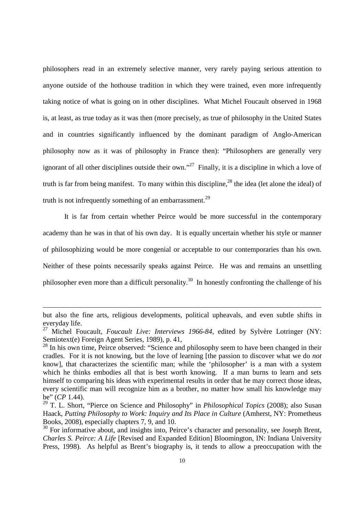philosophers read in an extremely selective manner, very rarely paying serious attention to anyone outside of the hothouse tradition in which they were trained, even more infrequently taking notice of what is going on in other disciplines. What Michel Foucault observed in 1968 is, at least, as true today as it was then (more precisely, as true of philosophy in the United States and in countries significantly influenced by the dominant paradigm of Anglo-American philosophy now as it was of philosophy in France then): "Philosophers are generally very ignorant of all other disciplines outside their own."<sup>27</sup> Finally, it is a discipline in which a love of truth is far from being manifest. To many within this discipline,  $^{28}$  the idea (let alone the ideal) of truth is not infrequently something of an embarrassment.<sup>29</sup>

 It is far from certain whether Peirce would be more successful in the contemporary academy than he was in that of his own day. It is equally uncertain whether his style or manner of philosophizing would be more congenial or acceptable to our contemporaries than his own. Neither of these points necessarily speaks against Peirce. He was and remains an unsettling philosopher even more than a difficult personality.<sup>30</sup> In honestly confronting the challenge of his

but also the fine arts, religious developments, political upheavals, and even subtle shifts in everyday life.

<sup>27</sup> Michel Foucault, *Foucault Live: Interviews 1966-84,* edited by Sylvère Lotringer (NY: Semiotext(e) Foreign Agent Series, 1989), p. 41,

 $28$  In his own time, Peirce observed: "Science and philosophy seem to have been changed in their cradles. For it is not knowing, but the love of learning [the passion to discover what we do *not* know], that characterizes the scientific man; while the 'philosopher' is a man with a system which he thinks embodies all that is best worth knowing. If a man burns to learn and sets himself to comparing his ideas with experimental results in order that he may correct those ideas, every scientific man will recognize him as a brother, no matter how small his knowledge may be" (*CP* 1.44).

<sup>29</sup> T. L. Short, "Pierce on Science and Philosophy" in *Philosophical Topics* (2008); also Susan Haack, *Putting Philosophy to Work: Inquiry and Its Place in Culture* (Amherst, NY: Prometheus Books, 2008), especially chapters 7, 9, and 10.

<sup>&</sup>lt;sup>30</sup> For informative about, and insights into, Peirce's character and personality, see Joseph Brent, *Charles S. Peirce: A Life* [Revised and Expanded Edition] Bloomington, IN: Indiana University Press, 1998). As helpful as Brent's biography is, it tends to allow a preoccupation with the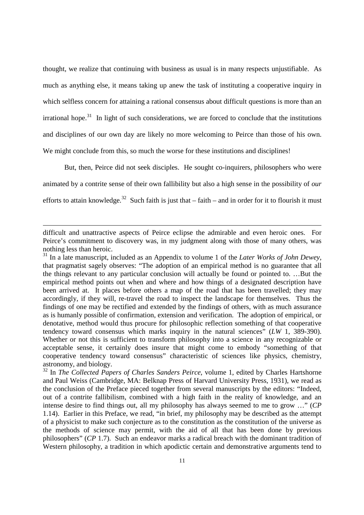thought, we realize that continuing with business as usual is in many respects unjustifiable. As much as anything else, it means taking up anew the task of instituting a cooperative inquiry in which selfless concern for attaining a rational consensus about difficult questions is more than an irrational hope.<sup>31</sup> In light of such considerations, we are forced to conclude that the institutions and disciplines of our own day are likely no more welcoming to Peirce than those of his own. We might conclude from this, so much the worse for these institutions and disciplines!

But, then, Peirce did not seek disciples. He sought co-inquirers, philosophers who were animated by a contrite sense of their own fallibility but also a high sense in the possibility of *our* efforts to attain knowledge.<sup>32</sup> Such faith is just that – faith – and in order for it to flourish it must

difficult and unattractive aspects of Peirce eclipse the admirable and even heroic ones. For Peirce's commitment to discovery was, in my judgment along with those of many others, was nothing less than heroic.

<sup>31</sup> In a late manuscript, included as an Appendix to volume 1 of the *Later Works of John Dewey,*  that pragmatist sagely observes: "The adoption of an empirical method is no guarantee that all the things relevant to any particular conclusion will actually be found or pointed to. …But the empirical method points out when and where and how things of a designated description have been arrived at. It places before others a map of the road that has been travelled; they may accordingly, if they will, re-travel the road to inspect the landscape for themselves. Thus the findings of one may be rectified and extended by the findings of others, with as much assurance as is humanly possible of confirmation, extension and verification. The adoption of empirical, or denotative, method would thus procure for philosophic reflection something of that cooperative tendency toward consensus which marks inquiry in the natural sciences" (*LW* 1, 389-390). Whether or not this is sufficient to transform philosophy into a science in any recognizable or acceptable sense, it certainly does insure that might come to embody "something of that cooperative tendency toward consensus" characteristic of sciences like physics, chemistry, astronomy, and biology.

<sup>&</sup>lt;sup>32</sup> In *The Collected Papers of Charles Sanders Peirce*, volume 1, edited by Charles Hartshorne and Paul Weiss (Cambridge, MA: Belknap Press of Harvard University Press, 1931), we read as the conclusion of the Preface pieced together from several manuscripts by the editors: "Indeed, out of a contrite fallibilism, combined with a high faith in the reality of knowledge, and an intense desire to find things out, all my philosophy has always seemed to me to grow …" (*CP* 1.14). Earlier in this Preface, we read, "in brief, my philosophy may be described as the attempt of a physicist to make such conjecture as to the constitution as the constitution of the universe as the methods of science may permit, with the aid of all that has been done by previous philosophers" (*CP* 1.7). Such an endeavor marks a radical breach with the dominant tradition of Western philosophy, a tradition in which apodictic certain and demonstrative arguments tend to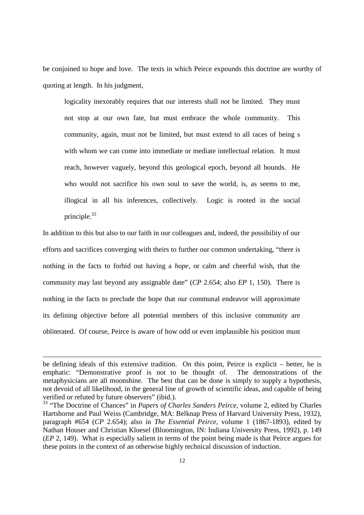be conjoined to hope and love. The texts in which Peirce expounds this doctrine are worthy of quoting at length. In his judgment,

logicality inexorably requires that our interests shall *not* be limited. They must not stop at our own fate, but must embrace the whole community. This community, again, must not be limited, but must extend to all races of being s with whom we can come into immediate or mediate intellectual relation. It must reach, however vaguely, beyond this geological epoch, beyond all bounds. He who would not sacrifice his own soul to save the world, is, as seems to me, illogical in all his inferences, collectively. Logic is rooted in the social principle.<sup>33</sup>

In addition to this but also to our faith in our colleagues and, indeed, the possibility of our efforts and sacrifices converging with theirs to further our common undertaking, "there is nothing in the facts to forbid out having a *hope*, or calm and cheerful wish, that the community may last beyond any assignable date" (*CP* 2.654; also *EP* 1, 150). There is nothing in the facts to preclude the hope that our communal endeavor will approximate its defining objective before all potential members of this inclusive community are obliterated. Of course, Peirce is aware of how odd or even implausible his position must

be defining ideals of this extensive tradition. On this point, Peirce is explicit – better, he is emphatic: "Demonstrative proof is not to be thought of. The demonstrations of the metaphysicians are all moonshine. The best that can be done is simply to supply a hypothesis, not devoid of all likelihood, in the general line of growth of scientific ideas, and capable of being verified or refuted by future observers" (ibid.).

<sup>&</sup>lt;sup>33</sup> "The Doctrine of Chances" in *Papers of Charles Sanders Peirce*, volume 2, edited by Charles Hartshorne and Paul Weiss (Cambridge, MA: Belknap Press of Harvard University Press, 1932), paragraph #654 (*CP* 2.654); also in *The Essential Peirce,* volume 1 (1867-1893), edited by Nathan Houser and Christian Kloesel (Bloomington, IN: Indiana University Press, 1992), p. 149 (*EP* 2, 149). What is especially salient in terms of the point being made is that Peirce argues for these points in the context of an otherwise highly technical discussion of induction.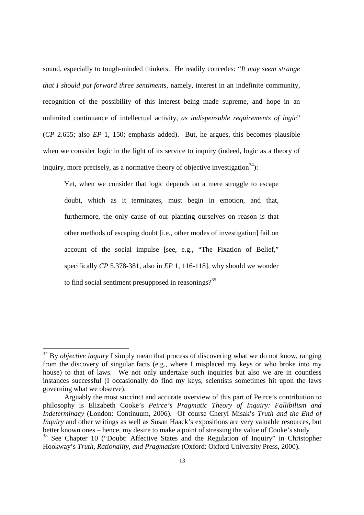sound, especially to tough-minded thinkers. He readily concedes: "*It may seem strange that I should put forward three sentiments*, namely, interest in an indefinite community, recognition of the possibility of this interest being made supreme, and hope in an unlimited continuance of intellectual activity, *as indispensable requirements of logic*" (*CP* 2.655; also *EP* 1, 150; emphasis added). But, he argues, this becomes plausible when we consider logic in the light of its service to inquiry (indeed, logic as a theory of inquiry, more precisely, as a normative theory of objective investigation<sup>34</sup>):

Yet, when we consider that logic depends on a mere struggle to escape doubt, which as it terminates, must begin in emotion, and that, furthermore, the only cause of our planting ourselves on reason is that other methods of escaping doubt [i.e., other modes of investigation] fail on account of the social impulse [see, e.g., "The Fixation of Belief," specifically *CP* 5.378-381, also in *EP* 1, 116-118], why should we wonder to find social sentiment presupposed in reasonings?<sup>35</sup>

l,

<sup>34</sup> By *objective inquiry* I simply mean that process of discovering what we do not know, ranging from the discovery of singular facts (e.g., where I misplaced my keys or who broke into my house) to that of laws. We not only undertake such inquiries but also we are in countless instances successful (I occasionally do find my keys, scientists sometimes hit upon the laws governing what we observe).

Arguably the most succinct and accurate overview of this part of Peirce's contribution to philosophy is Elizabeth Cooke's *Peirce's Pragmatic Theory of Inquiry: Fallibilism and Indeterminacy* (London: Continuum, 2006). Of course Cheryl Misak's *Truth and the End of Inquiry* and other writings as well as Susan Haack's expositions are very valuable resources, but better known ones – hence, my desire to make a point of stressing the value of Cooke's study <sup>35</sup> See Chapter 10 ("Doubt: Affective States and the Regulation of Inquiry" in Christopher Hookway's *Truth, Rationality, and Pragmatism* (Oxford: Oxford University Press, 2000).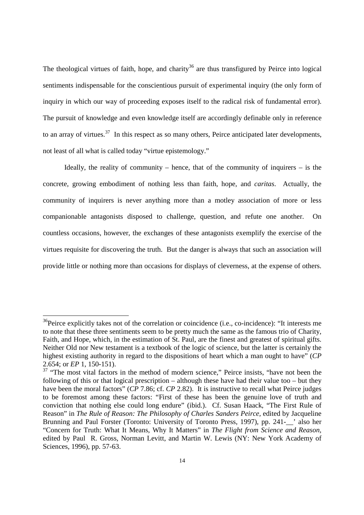The theological virtues of faith, hope, and charity<sup>36</sup> are thus transfigured by Peirce into logical sentiments indispensable for the conscientious pursuit of experimental inquiry (the only form of inquiry in which our way of proceeding exposes itself to the radical risk of fundamental error). The pursuit of knowledge and even knowledge itself are accordingly definable only in reference to an array of virtues.<sup>37</sup> In this respect as so many others, Peirce anticipated later developments, not least of all what is called today "virtue epistemology."

Ideally, the reality of community – hence, that of the community of inquirers – is the concrete, growing embodiment of nothing less than faith, hope, and *caritas*. Actually, the community of inquirers is never anything more than a motley association of more or less companionable antagonists disposed to challenge, question, and refute one another. On countless occasions, however, the exchanges of these antagonists exemplify the exercise of the virtues requisite for discovering the truth. But the danger is always that such an association will provide little or nothing more than occasions for displays of cleverness, at the expense of others.

 $36$ Peirce explicitly takes not of the correlation or coincidence (i.e., co-incidence): "It interests me to note that these three sentiments seem to be pretty much the same as the famous trio of Charity, Faith, and Hope, which, in the estimation of St. Paul, are the finest and greatest of spiritual gifts. Neither Old nor New testament is a textbook of the logic of science, but the latter is certainly the highest existing authority in regard to the dispositions of heart which a man ought to have" (*CP* 2.654; or *EP* 1, 150-151).

 $37$  "The most vital factors in the method of modern science," Peirce insists, "have not been the following of this or that logical prescription – although these have had their value too – but they have been the moral factors" (*CP* 7.86; cf. *CP* 2.82). It is instructive to recall what Peirce judges to be foremost among these factors: "First of these has been the genuine love of truth and conviction that nothing else could long endure" (ibid.). Cf. Susan Haack, "The First Rule of Reason" in *The Rule of Reason: The Philosophy of Charles Sanders Peirce,* edited by Jacqueline Brunning and Paul Forster (Toronto: University of Toronto Press, 1997), pp. 241-  $\cdot$  also her "Concern for Truth: What It Means, Why It Matters" in *The Flight from Science and Reason,* edited by Paul R. Gross, Norman Levitt, and Martin W. Lewis (NY: New York Academy of Sciences, 1996), pp. 57-63.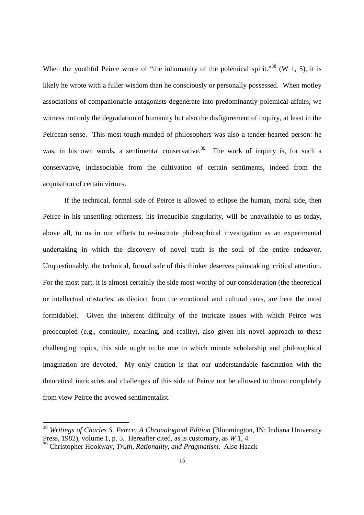When the youthful Peirce wrote of "the inhumanity of the polemical spirit."<sup>38</sup> (W 1, 5), it is likely he wrote with a fuller wisdom than he consciously or personally possessed. When motley associations of companionable antagonists degenerate into predominantly polemical affairs, we witness not only the degradation of humanity but also the disfigurement of inquiry, at least in the Peircean sense. This most tough-minded of philosophers was also a tender-hearted person: he was, in his own words, a sentimental conservative.<sup>39</sup> The work of inquiry is, for such a conservative, indissociable from the cultivation of certain sentiments, indeed from the acquisition of certain virtues.

If the technical, formal side of Peirce is allowed to eclipse the human, moral side, then Peirce in his unsettling otherness, his irreducible singularity, will be unavailable to us today, above all, to us in our efforts to re-institute philosophical investigation as an experimental undertaking in which the discovery of novel truth is the soul of the entire endeavor. Unquestionably, the technical, formal side of this thinker deserves painstaking, critical attention. For the most part, it is almost certainly the side most worthy of our consideration (the theoretical or intellectual obstacles, as distinct from the emotional and cultural ones, are here the most formidable). Given the inherent difficulty of the intricate issues with which Peirce was preoccupied (e.g., continuity, meaning, and reality), also given his novel approach to these challenging topics, this side ought to be one to which minute scholarship and philosophical imagination are devoted. My only caution is that our understandable fascination with the theoretical intricacies and challenges of this side of Peirce not be allowed to thrust completely from view Peirce the avowed sentimentalist.

<sup>38</sup> *Writings of Charles S. Peirce: A Chronological Edition* (Bloomington, IN: Indiana University Press, 1982), volume 1, p. 5. Hereafter cited, as is customary, as *W* 1, 4.

<sup>39</sup> Christopher Hookway, *Truth, Rationality, and Pragmatism.* Also Haack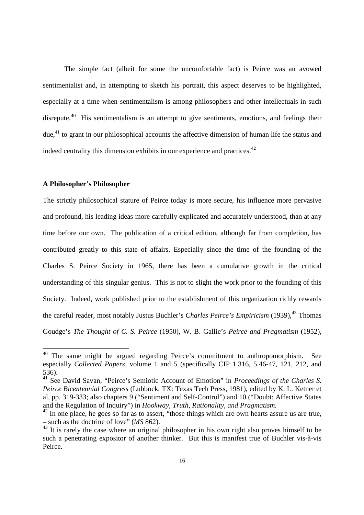The simple fact (albeit for some the uncomfortable fact) is Peirce was an avowed sentimentalist and, in attempting to sketch his portrait, this aspect deserves to be highlighted, especially at a time when sentimentalism is among philosophers and other intellectuals in such disrepute.<sup>40</sup> His sentimentalism is an attempt to give sentiments, emotions, and feelings their due,  $41$  to grant in our philosophical accounts the affective dimension of human life the status and indeed centrality this dimension exhibits in our experience and practices.<sup>42</sup>

# **A Philosopher's Philosopher**

l,

The strictly philosophical stature of Peirce today is more secure, his influence more pervasive and profound, his leading ideas more carefully explicated and accurately understood, than at any time before our own. The publication of a critical edition, although far from completion, has contributed greatly to this state of affairs. Especially since the time of the founding of the Charles S. Peirce Society in 1965, there has been a cumulative growth in the critical understanding of this singular genius. This is not to slight the work prior to the founding of this Society. Indeed, work published prior to the establishment of this organization richly rewards the careful reader, most notably Justus Buchler's *Charles Peirce's Empiricism* (1939),<sup>43</sup> Thomas Goudge's *The Thought of C. S. Peirce* (1950), W. B. Gallie's *Peirce and Pragmatism* (1952),

<sup>&</sup>lt;sup>40</sup> The same might be argued regarding Peirce's commitment to anthropomorphism. See especially *Collected Papers,* volume 1 and 5 (specifically CIP 1.316, 5.46-47, 121, 212, and 536).

<sup>41</sup> See David Savan, "Peirce's Semiotic Account of Emotion" in *Proceedings of the Charles S. Peirce Bicentennial Congress* (Lubbock, TX: Texas Tech Press, 1981), edited by K. L. Ketner et al, pp. 319-333; also chapters 9 ("Sentiment and Self-Control") and 10 ("Doubt: Affective States and the Regulation of Inquiry") in *Hookway, Truth, Rationality, and Pragmatism.*

 $42$  In one place, he goes so far as to assert, "those things which are own hearts assure us are true, – such as the doctrine of love" (*MS* 862).

 $43$  It is rarely the case where an original philosopher in his own right also proves himself to be such a penetrating expositor of another thinker. But this is manifest true of Buchler vis-à-vis Peirce.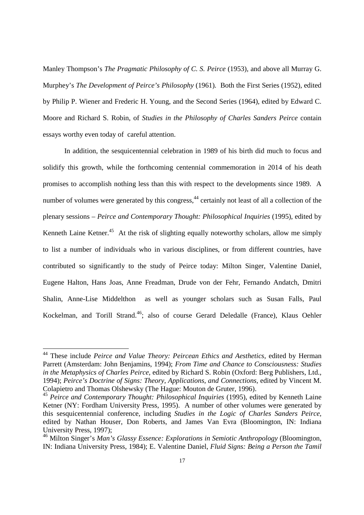Manley Thompson's *The Pragmatic Philosophy of C. S. Peirce* (1953)*,* and above all Murray G. Murphey's *The Development of Peirce's Philosophy* (1961)*.* Both the First Series (1952), edited by Philip P. Wiener and Frederic H. Young, and the Second Series (1964), edited by Edward C. Moore and Richard S. Robin, of *Studies in the Philosophy of Charles Sanders Peirce* contain essays worthy even today of careful attention.

In addition, the sesquicentennial celebration in 1989 of his birth did much to focus and solidify this growth, while the forthcoming centennial commemoration in 2014 of his death promises to accomplish nothing less than this with respect to the developments since 1989. A number of volumes were generated by this congress,<sup>44</sup> certainly not least of all a collection of the plenary sessions – *Peirce and Contemporary Thought: Philosophical Inquiries* (1995), edited by Kenneth Laine Ketner.<sup>45</sup> At the risk of slighting equally noteworthy scholars, allow me simply to list a number of individuals who in various disciplines, or from different countries, have contributed so significantly to the study of Peirce today: Milton Singer, Valentine Daniel, Eugene Halton, Hans Joas, Anne Freadman, Drude von der Fehr, Fernando Andatch, Dmitri Shalin, Anne-Lise Middelthon as well as younger scholars such as Susan Falls, Paul Kockelman, and Torill Strand.<sup>46</sup>; also of course Gerard Deledalle (France), Klaus Oehler

l,

<sup>&</sup>lt;sup>44</sup> These include *Peirce and Value Theory: Peircean Ethics and Aesthetics*, edited by Herman Parrett (Amsterdam: John Benjamins, 1994); *From Time and Chance to Consciousness: Studies in the Metaphysics of Charles Peirce,* edited by Richard S. Robin (Oxford: Berg Publishers, Ltd., 1994); *Peirce's Doctrine of Signs: Theory, Applications, and Connections,* edited by Vincent M. Colapietro and Thomas Olshewsky (The Hague: Mouton de Gruter, 1996).

<sup>&</sup>lt;sup>45</sup> Peirce and Contemporary Thought: Philosophical Inquiries (1995), edited by Kenneth Laine Ketner (NY: Fordham University Press, 1995). A number of other volumes were generated by this sesquicentennial conference, including *Studies in the Logic of Charles Sanders Peirce,* edited by Nathan Houser, Don Roberts, and James Van Evra (Bloomington, IN: Indiana University Press, 1997);

<sup>46</sup> Milton Singer's *Man's Glassy Essence: Explorations in Semiotic Anthropology* (Bloomington, IN: Indiana University Press, 1984); E. Valentine Daniel, *Fluid Signs: Being a Person the Tamil*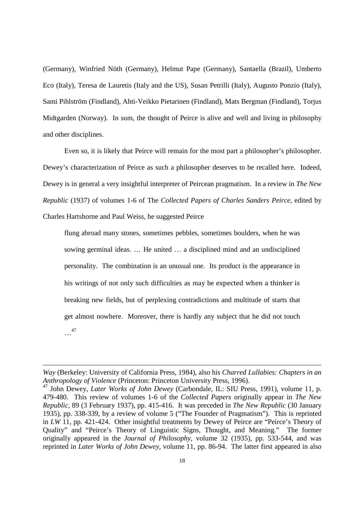(Germany), Winfried Nöth (Germany), Helmut Pape (Germany), Santaella (Brazil), Umberto Eco (Italy), Teresa de Lauretis (Italy and the US), Susan Petrilli (Italy), Augusto Ponzio (Italy), Sami Pihlström (Findland), Ahti-Veikko Pietarinen (Findland), Mats Bergman (Findland), Torjus Midtgarden (Norway). In sum, the thought of Peirce is alive and well and living in philosophy and other disciplines.

 Even so, it is likely that Peirce will remain for the most part a philosopher's philosopher. Dewey's characterization of Peirce as such a philosopher deserves to be recalled here. Indeed, Dewey is in general a very insightful interpreter of Peircean pragmatism. In a review in *The New Republic* (1937) of volumes 1-6 of The *Collected Papers of Charles Sanders Peirce,* edited by Charles Hartshorne and Paul Weiss, he suggested Peirce

flung abroad many stones, sometimes pebbles, sometimes boulders, when he was sowing germinal ideas. … He united … a disciplined mind and an undisciplined personality. The combination is an unusual one. Its product is the appearance in his writings of not only such difficulties as may be expected when a thinker is breaking new fields, but of perplexing contradictions and multitude of starts that get almost nowhere. Moreover, there is hardly any subject that he did not touch …<sup>47</sup>

*Way* (Berkeley: University of California Press, 1984), also his *Charred Lullabies: Chapters in an Anthropology of Violence* (Princeton: Princeton University Press, 1996).

<sup>47</sup> John Dewey, *Later Works of John Dewey* (Carbondale, IL: SIU Press, 1991), volume 11, p. 479-480. This review of volumes 1-6 of the *Collected Papers* originally appear in *The New Republic,* 89 (3 February 1937), pp. 415-416. It was preceded in *The New Republic* (30 January 1935), pp. 338-339, by a review of volume 5 ("The Founder of Pragmatism"). This is reprinted in *LW* 11, pp. 421-424. Other insightful treatments by Dewey of Peirce are "Peirce's Theory of Quality" and "Peirce's Theory of Linguistic Signs, Thought, and Meaning." The former originally appeared in the *Journal of Philosophy,* volume 32 (1935), pp. 533-544, and was reprinted in *Later Works of John Dewey,* volume 11, pp. 86-94. The latter first appeared in also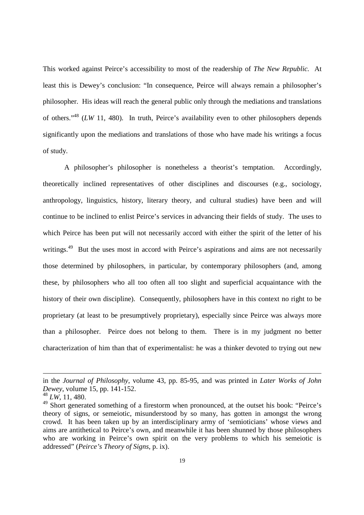This worked against Peirce's accessibility to most of the readership of *The New Republic.* At least this is Dewey's conclusion: "In consequence, Peirce will always remain a philosopher's philosopher. His ideas will reach the general public only through the mediations and translations of others."<sup>48</sup> (*LW* 11, 480). In truth, Peirce's availability even to other philosophers depends significantly upon the mediations and translations of those who have made his writings a focus of study.

A philosopher's philosopher is nonetheless a theorist's temptation. Accordingly, theoretically inclined representatives of other disciplines and discourses (e.g., sociology, anthropology, linguistics, history, literary theory, and cultural studies) have been and will continue to be inclined to enlist Peirce's services in advancing their fields of study. The uses to which Peirce has been put will not necessarily accord with either the spirit of the letter of his writings.<sup>49</sup> But the uses most in accord with Peirce's aspirations and aims are not necessarily those determined by philosophers, in particular, by contemporary philosophers (and, among these, by philosophers who all too often all too slight and superficial acquaintance with the history of their own discipline). Consequently, philosophers have in this context no right to be proprietary (at least to be presumptively proprietary), especially since Peirce was always more than a philosopher. Peirce does not belong to them. There is in my judgment no better characterization of him than that of experimentalist: he was a thinker devoted to trying out new

in the *Journal of Philosophy,* volume 43, pp. 85-95, and was printed in *Later Works of John Dewey*, volume 15, pp. 141-152.

<sup>48</sup> *LW*, 11, 480.

<sup>&</sup>lt;sup>49</sup> Short generated something of a firestorm when pronounced, at the outset his book: "Peirce's theory of signs, or semeiotic, misunderstood by so many, has gotten in amongst the wrong crowd. It has been taken up by an interdisciplinary army of 'semioticians' whose views and aims are antithetical to Peirce's own, and meanwhile it has been shunned by those philosophers who are working in Peirce's own spirit on the very problems to which his semeiotic is addressed" (*Peirce's Theory of Signs,* p. ix).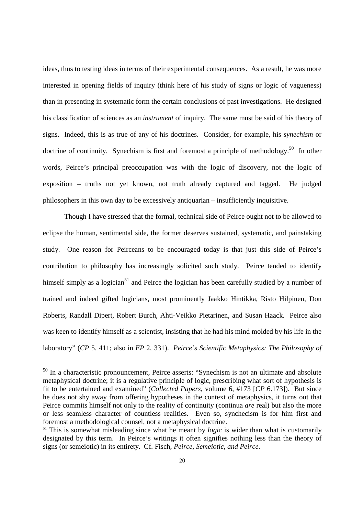ideas, thus to testing ideas in terms of their experimental consequences. As a result, he was more interested in opening fields of inquiry (think here of his study of signs or logic of vagueness) than in presenting in systematic form the certain conclusions of past investigations. He designed his classification of sciences as an *instrument* of inquiry. The same must be said of his theory of signs. Indeed, this is as true of any of his doctrines. Consider, for example, his *synechism* or doctrine of continuity. Synechism is first and foremost a principle of methodology.<sup>50</sup> In other words, Peirce's principal preoccupation was with the logic of discovery, not the logic of exposition – truths not yet known, not truth already captured and tagged. He judged philosophers in this own day to be excessively antiquarian – insufficiently inquisitive.

Though I have stressed that the formal, technical side of Peirce ought not to be allowed to eclipse the human, sentimental side, the former deserves sustained, systematic, and painstaking study. One reason for Peirceans to be encouraged today is that just this side of Peirce's contribution to philosophy has increasingly solicited such study. Peirce tended to identify himself simply as a logician<sup>51</sup> and Peirce the logician has been carefully studied by a number of trained and indeed gifted logicians, most prominently Jaakko Hintikka, Risto Hilpinen, Don Roberts, Randall Dipert, Robert Burch, Ahti-Veikko Pietarinen, and Susan Haack. Peirce also was keen to identify himself as a scientist, insisting that he had his mind molded by his life in the laboratory" (*CP* 5. 411; also in *EP* 2, 331). *Peirce's Scientific Metaphysics: The Philosophy of* 

<sup>&</sup>lt;sup>50</sup> In a characteristic pronouncement, Peirce asserts: "Synechism is not an ultimate and absolute metaphysical doctrine; it is a regulative principle of logic, prescribing what sort of hypothesis is fit to be entertained and examined" (*Collected Papers,* volume 6, #173 [*CP* 6.173]). But since he does not shy away from offering hypotheses in the context of metaphysics, it turns out that Peirce commits himself not only to the reality of continuity (continua *are* real) but also the more or less seamless character of countless realities. Even so, synchecism is for him first and foremost a methodological counsel, not a metaphysical doctrine.

<sup>&</sup>lt;sup>51</sup> This is somewhat misleading since what he meant by *logic* is wider than what is customarily designated by this term. In Peirce's writings it often signifies nothing less than the theory of signs (or semeiotic) in its entirety. Cf. Fisch, *Peirce, Semeiotic, and Peirce.*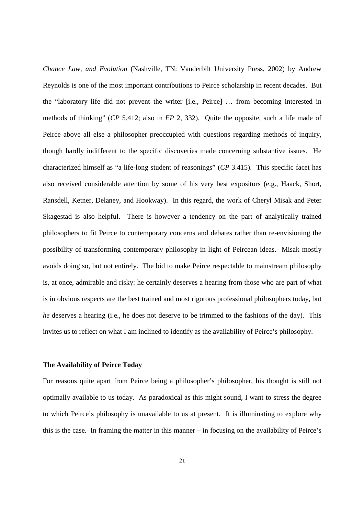*Chance Law, and Evolution* (Nashville, TN: Vanderbilt University Press, 2002) by Andrew Reynolds is one of the most important contributions to Peirce scholarship in recent decades. But the "laboratory life did not prevent the writer [i.e., Peirce] … from becoming interested in methods of thinking" (*CP* 5.412; also in *EP* 2, 332). Quite the opposite, such a life made of Peirce above all else a philosopher preoccupied with questions regarding methods of inquiry, though hardly indifferent to the specific discoveries made concerning substantive issues. He characterized himself as "a life-long student of reasonings" (*CP* 3.415). This specific facet has also received considerable attention by some of his very best expositors (e.g., Haack, Short, Ransdell, Ketner, Delaney, and Hookway). In this regard, the work of Cheryl Misak and Peter Skagestad is also helpful. There is however a tendency on the part of analytically trained philosophers to fit Peirce to contemporary concerns and debates rather than re-envisioning the possibility of transforming contemporary philosophy in light of Peircean ideas. Misak mostly avoids doing so, but not entirely. The bid to make Peirce respectable to mainstream philosophy is, at once, admirable and risky: he certainly deserves a hearing from those who are part of what is in obvious respects are the best trained and most rigorous professional philosophers today, but *he* deserves a hearing (i.e., he does not deserve to be trimmed to the fashions of the day). This invites us to reflect on what I am inclined to identify as the availability of Peirce's philosophy.

### **The Availability of Peirce Today**

For reasons quite apart from Peirce being a philosopher's philosopher, his thought is still not optimally available to us today. As paradoxical as this might sound, I want to stress the degree to which Peirce's philosophy is unavailable to us at present. It is illuminating to explore why this is the case. In framing the matter in this manner – in focusing on the availability of Peirce's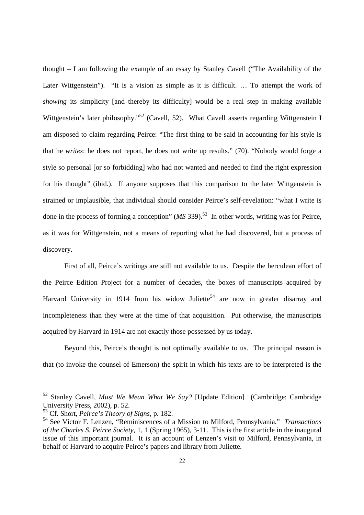thought – I am following the example of an essay by Stanley Cavell ("The Availability of the Later Wittgenstein"). "It is a vision as simple as it is difficult. ... To attempt the work of *showing* its simplicity [and thereby its difficulty] would be a real step in making available Wittgenstein's later philosophy."<sup>52</sup> (Cavell, 52). What Cavell asserts regarding Wittgenstein I am disposed to claim regarding Peirce: "The first thing to be said in accounting for his style is that he *writes*: he does not report, he does not write up results." (70). "Nobody would forge a style so personal [or so forbidding] who had not wanted and needed to find the right expression for his thought" (ibid.). If anyone supposes that this comparison to the later Wittgenstein is strained or implausible, that individual should consider Peirce's self-revelation: "what I write is done in the process of forming a conception" (*MS* 339).<sup>53</sup> In other words, writing was for Peirce, as it was for Wittgenstein, not a means of reporting what he had discovered, but a process of discovery.

 First of all, Peirce's writings are still not available to us. Despite the herculean effort of the Peirce Edition Project for a number of decades, the boxes of manuscripts acquired by Harvard University in 1914 from his widow Juliette<sup>54</sup> are now in greater disarray and incompleteness than they were at the time of that acquisition. Put otherwise, the manuscripts acquired by Harvard in 1914 are not exactly those possessed by us today.

Beyond this, Peirce's thought is not optimally available to us. The principal reason is that (to invoke the counsel of Emerson) the spirit in which his texts are to be interpreted is the

<sup>52</sup> Stanley Cavell, *Must We Mean What We Say?* [Update Edition] (Cambridge: Cambridge University Press, 2002), p. 52.

<sup>53</sup> Cf. Short, *Peirce's Theory of Signs,* p. 182.

<sup>54</sup> See Victor F. Lenzen, "Reminiscences of a Mission to Milford, Pennsylvania." *Transactions of the Charles S. Peirce Society*, 1, 1 (Spring 1965), 3-11. This is the first article in the inaugural issue of this important journal. It is an account of Lenzen's visit to Milford, Pennsylvania, in behalf of Harvard to acquire Peirce's papers and library from Juliette.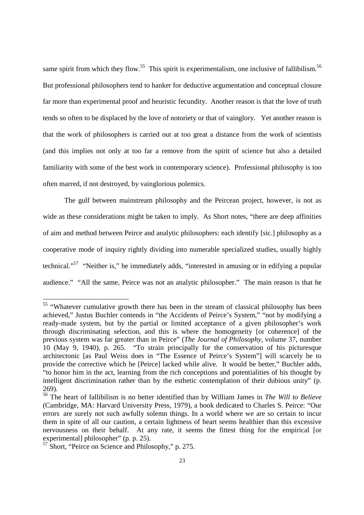same spirit from which they flow.<sup>55</sup> This spirit is experimentalism, one inclusive of fallibilism.<sup>56</sup> But professional philosophers tend to hanker for deductive argumentation and conceptual closure far more than experimental proof and heuristic fecundity. Another reason is that the love of truth tends so often to be displaced by the love of notoriety or that of vainglory. Yet another reason is that the work of philosophers is carried out at too great a distance from the work of scientists (and this implies not only at too far a remove from the spirit of science but also a detailed familiarity with some of the best work in contemporary science). Professional philosophy is too often marred, if not destroyed, by vainglorious polemics.

The gulf between mainstream philosophy and the Peircean project, however, is not as wide as these considerations might be taken to imply. As Short notes, "there are deep affinities of aim and method between Peirce and analytic philosophers: each identify [sic.] philosophy as a cooperative mode of inquiry rightly dividing into numerable specialized studies, usually highly technical."<sup>57</sup> "Neither is," he immediately adds, "interested in amusing or in edifying a popular audience." "All the same, Peirce was not an analytic philosopher." The main reason is that he

<sup>&</sup>lt;sup>55</sup> "Whatever cumulative growth there has been in the stream of classical philosophy has been achieved," Justus Buchler contends in "the Accidents of Peirce's System," "not by modifying a ready-made system, but by the partial or limited acceptance of a given philosopher's work through discriminating selection, and this is where the homogeneity [or coherence] of the previous system was far greater than in Peirce" (*The Journal of Philosophy,* volume 37, number 10 (May 9, 1940), p. 265. "To strain principally for the conservation of his picturesque architectonic [as Paul Weiss does in "The Essence of Peirce's System"] will scarcely be to provide the corrective which he [Peirce] lacked while alive. It would be better," Buchler adds, "to honor him in the act, learning from the rich conceptions and potentialities of his thought by intelligent discrimination rather than by the esthetic contemplation of their dubious unity" (p. 269).

<sup>56</sup> The heart of fallibilism is no better identified than by William James in *The Will to Believe* (Cambridge, MA: Harvard University Press, 1979), a book dedicated to Charles S. Peirce: "Our errors are surely not such awfully solemn things. In a world where we are so certain to incur them in spite of all our caution, a certain lightness of heart seems healthier than this excessive nervousness on their behalf. At any rate, it seems the fittest thing for the empirical [or experimental] philosopher" (p. p. 25).

<sup>57</sup> Short, "Peirce on Science and Philosophy," p. 275.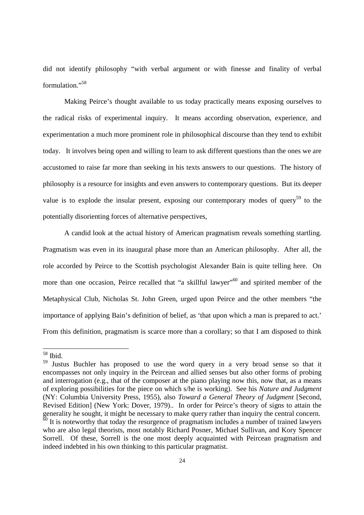did not identify philosophy "with verbal argument or with finesse and finality of verbal formulation."<sup>58</sup>

Making Peirce's thought available to us today practically means exposing ourselves to the radical risks of experimental inquiry. It means according observation, experience, and experimentation a much more prominent role in philosophical discourse than they tend to exhibit today. It involves being open and willing to learn to ask different questions than the ones we are accustomed to raise far more than seeking in his texts answers to our questions. The history of philosophy *is* a resource for insights and even answers to contemporary questions. But its deeper value is to explode the insular present, exposing our contemporary modes of query<sup>59</sup> to the potentially disorienting forces of alternative perspectives,

A candid look at the actual history of American pragmatism reveals something startling. Pragmatism was even in its inaugural phase more than an American philosophy. After all, the role accorded by Peirce to the Scottish psychologist Alexander Bain is quite telling here. On more than one occasion, Peirce recalled that "a skillful lawyer"<sup>60</sup> and spirited member of the Metaphysical Club, Nicholas St. John Green, urged upon Peirce and the other members "the importance of applying Bain's definition of belief, as 'that upon which a man is prepared to act.' From this definition, pragmatism is scarce more than a corollary; so that I am disposed to think

l,

<sup>58</sup> Ibid.

<sup>59</sup> Justus Buchler has proposed to use the word query in a very broad sense so that it encompasses not only inquiry in the Peircean and allied senses but also other forms of probing and interrogation (e.g., that of the composer at the piano playing now this, now that, as a means of exploring possibilities for the piece on which s/he is working). See his *Nature and Judgment*  (NY: Columbia University Press, 1955)*,* also *Toward a General Theory of Judgment* [Second, Revised Edition] (New York: Dover, 1979).. In order for Peirce's theory of signs to attain the generality he sought, it might be necessary to make query rather than inquiry the central concern.  $\frac{60}{60}$  It is noteworthy that today the resurgence of pragmatism includes a number of trained lawyers who are also legal theorists, most notably Richard Posner, Michael Sullivan, and Kory Spencer Sorrell. Of these, Sorrell is the one most deeply acquainted with Peircean pragmatism and indeed indebted in his own thinking to this particular pragmatist.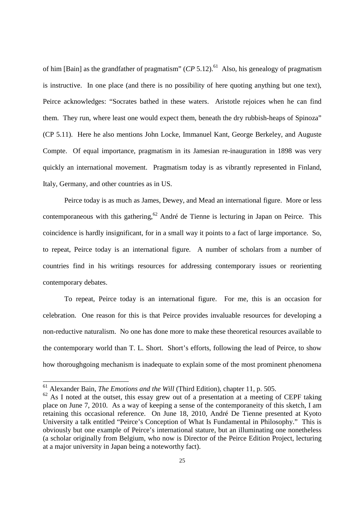of him [Bain] as the grandfather of pragmatism"  $(CP 5.12)$ .<sup>61</sup> Also, his genealogy of pragmatism is instructive. In one place (and there is no possibility of here quoting anything but one text), Peirce acknowledges: "Socrates bathed in these waters. Aristotle rejoices when he can find them. They run, where least one would expect them, beneath the dry rubbish-heaps of Spinoza" (CP 5.11). Here he also mentions John Locke, Immanuel Kant, George Berkeley, and Auguste Compte. Of equal importance, pragmatism in its Jamesian re-inauguration in 1898 was very quickly an international movement. Pragmatism today is as vibrantly represented in Finland, Italy, Germany, and other countries as in US.

 Peirce today is as much as James, Dewey, and Mead an international figure. More or less contemporaneous with this gathering,<sup>62</sup> André de Tienne is lecturing in Japan on Peirce. This coincidence is hardly insignificant, for in a small way it points to a fact of large importance. So, to repeat, Peirce today is an international figure. A number of scholars from a number of countries find in his writings resources for addressing contemporary issues or reorienting contemporary debates.

 To repeat, Peirce today is an international figure. For me, this is an occasion for celebration. One reason for this is that Peirce provides invaluable resources for developing a non-reductive naturalism. No one has done more to make these theoretical resources available to the contemporary world than T. L. Short. Short's efforts, following the lead of Peirce, to show how thoroughgoing mechanism is inadequate to explain some of the most prominent phenomena

<sup>61</sup> Alexander Bain, *The Emotions and the Will* (Third Edition), chapter 11, p. 505.

 $62$  As I noted at the outset, this essay grew out of a presentation at a meeting of CEPF taking place on June 7, 2010. As a way of keeping a sense of the contemporaneity of this sketch, I am retaining this occasional reference. On June 18, 2010, André De Tienne presented at Kyoto University a talk entitled "Peirce's Conception of What Is Fundamental in Philosophy." This is obviously but one example of Peirce's international stature, but an illuminating one nonetheless (a scholar originally from Belgium, who now is Director of the Peirce Edition Project, lecturing at a major university in Japan being a noteworthy fact).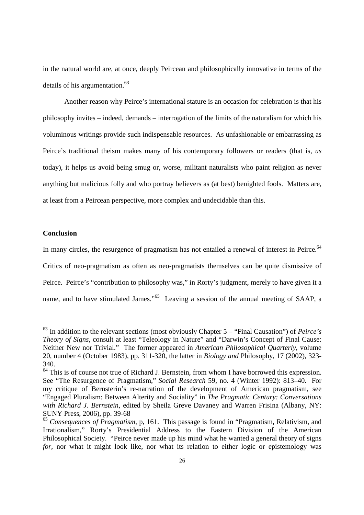in the natural world are, at once, deeply Peircean and philosophically innovative in terms of the details of his argumentation.<sup>63</sup>

 Another reason why Peirce's international stature is an occasion for celebration is that his philosophy invites – indeed, demands – interrogation of the limits of the naturalism for which his voluminous writings provide such indispensable resources. As unfashionable or embarrassing as Peirce's traditional theism makes many of his contemporary followers or readers (that is, *us* today), it helps us avoid being smug or, worse, militant naturalists who paint religion as never anything but malicious folly and who portray believers as (at best) benighted fools. Matters are, at least from a Peircean perspective, more complex and undecidable than this.

#### **Conclusion**

 $\overline{a}$ 

In many circles, the resurgence of pragmatism has not entailed a renewal of interest in Peirce.<sup>64</sup> Critics of neo-pragmatism as often as neo-pragmatists themselves can be quite dismissive of Peirce. Peirce's "contribution to philosophy was," in Rorty's judgment, merely to have given it a name, and to have stimulated James."<sup>65</sup> Leaving a session of the annual meeting of SAAP, a

<sup>63</sup> In addition to the relevant sections (most obviously Chapter 5 – "Final Causation") of *Peirce's Theory of Signs,* consult at least "Teleology in Nature" and "Darwin's Concept of Final Cause: Neither New nor Trivial." The former appeared in *American Philosophical Quarterly*, volume 20, number 4 (October 1983), pp. 311-320, the latter in *Biology and* Philosophy, 17 (2002), 323- 340.

<sup>&</sup>lt;sup>64</sup> This is of course not true of Richard J. Bernstein, from whom I have borrowed this expression. See "The Resurgence of Pragmatism," *Social Research* 59, no. 4 (Winter 1992): 813–40. For my critique of Bernsterin's re-narration of the development of American pragmatism, see "Engaged Pluralism: Between Alterity and Sociality" in *The Pragmatic Century: Conversations with Richard J. Bernstein,* edited by Sheila Greve Davaney and Warren Frisina (Albany, NY: SUNY Press, 2006), pp. 39-68

<sup>65</sup> *Consequences of Pragmatism,* p, 161. This passage is found in "Pragmatism, Relativism, and Irrationalism," Rorty's Presidential Address to the Eastern Division of the American Philosophical Society. "Peirce never made up his mind what he wanted a general theory of signs *for,* nor what it might look like, nor what its relation to either logic or epistemology was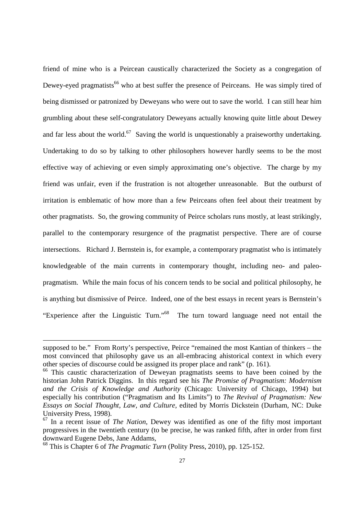friend of mine who is a Peircean caustically characterized the Society as a congregation of Dewey-eyed pragmatists<sup>66</sup> who at best suffer the presence of Peirceans. He was simply tired of being dismissed or patronized by Deweyans who were out to save the world. I can still hear him grumbling about these self-congratulatory Deweyans actually knowing quite little about Dewey and far less about the world.<sup>67</sup> Saving the world is unquestionably a praiseworthy undertaking. Undertaking to do so by talking to other philosophers however hardly seems to be the most effective way of achieving or even simply approximating one's objective. The charge by my friend was unfair, even if the frustration is not altogether unreasonable. But the outburst of irritation is emblematic of how more than a few Peirceans often feel about their treatment by other pragmatists. So, the growing community of Peirce scholars runs mostly, at least strikingly, parallel to the contemporary resurgence of the pragmatist perspective. There are of course intersections. Richard J. Bernstein is, for example, a contemporary pragmatist who is intimately knowledgeable of the main currents in contemporary thought, including neo- and paleopragmatism. While the main focus of his concern tends to be social and political philosophy, he is anything but dismissive of Peirce. Indeed, one of the best essays in recent years is Bernstein's "Experience after the Linguistic Turn."<sup>68</sup> The turn toward language need not entail the

supposed to be." From Rorty's perspective, Peirce "remained the most Kantian of thinkers – the most convinced that philosophy gave us an all-embracing ahistorical context in which every other species of discourse could be assigned its proper place and rank" (p. 161).

<sup>&</sup>lt;sup>66</sup> This caustic characterization of Deweyan pragmatists seems to have been coined by the historian John Patrick Diggins. In this regard see his *The Promise of Pragmatism: Modernism and the Crisis of Knowledge and Authority* (Chicago: University of Chicago, 1994) but especially his contribution ("Pragmatism and Its Limits") to *The Revival of Pragmatism: New Essays on Social Thought, Law, and Culture,* edited by Morris Dickstein (Durham, NC: Duke University Press, 1998).

<sup>67</sup> In a recent issue of *The Nation,* Dewey was identified as one of the fifty most important progressives in the twentieth century (to be precise, he was ranked fifth, after in order from first downward Eugene Debs, Jane Addams,

<sup>68</sup> This is Chapter 6 of *The Pragmatic Turn* (Polity Press, 2010), pp. 125-152.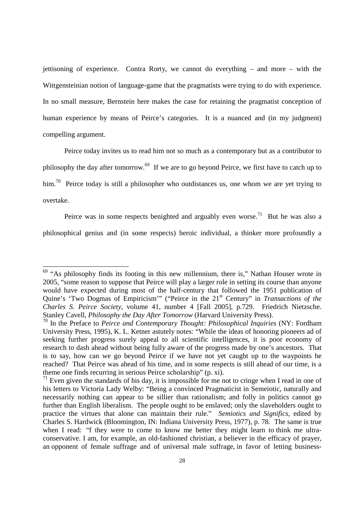jettisoning of experience. Contra Rorty, we cannot do everything – and more – with the Wittgensteinian notion of language-game that the pragmatists were trying to do with experience. In no small measure, Bernstein here makes the case for retaining the pragmatist conception of human experience by means of Peirce's categories. It is a nuanced and (in my judgment) compelling argument.

Peirce today invites us to read him not so much as a contemporary but as a contributor to philosophy the day after tomorrow.<sup>69</sup> If we are to go beyond Peirce, we first have to catch up to him.<sup>70</sup> Peirce today is still a philosopher who outdistances us, one whom we are yet trying to overtake.

Peirce was in some respects benighted and arguably even worse.<sup>71</sup> But he was also a philosophical genius and (in some respects) heroic individual, a thinker more profoundly a

 $69$  "As philosophy finds its footing in this new millennium, there is," Nathan Houser wrote in 2005, "some reason to suppose that Peirce will play a larger role in setting its course than anyone would have expected during most of the half-century that followed the 1951 publication of Quine's 'Two Dogmas of Empiricism'" ("Peirce in the 21<sup>st</sup> Century" in *Transactions of the Charles S. Peirce Society*, volume 41, number 4 [Fall 2005], p.729. Friedrich Nietzsche. Stanley Cavell, *Philosophy the Day After Tomorrow* (Harvard University Press).

<sup>70</sup> In the Preface to *Peirce and Contemporary Thought: Philosophical Inquiries* (NY: Fordham University Press, 1995), K. L. Ketner astutely notes: "While the ideas of honoring pioneers ad of seeking further progress surely appeal to all scientific intelligences, it is poor economy of research to dash ahead without being fully aware of the progress made by one's ancestors. That is to say, how can we go beyond Peirce if we have not yet caught up to the waypoints he reached? That Peirce was ahead of his time, and in some respects is still ahead of our time, is a theme one finds recurring in serious Peirce scholarship" (p. xi).

 $<sup>71</sup>$  Even given the standards of his day, it is impossible for me not to cringe when I read in one of</sup> his letters to Victoria Lady Welby: "Being a convinced Pragmaticist in Semeiotic, naturally and necessarily nothing can appear to be sillier than rationalism; and folly in politics cannot go further than English liberalism. The people ought to be enslaved; only the slaveholders ought to practice the virtues that alone can maintain their rule." *Semiotics and Significs,* edited by Charles S. Hardwick (Bloomington, IN: Indiana University Press, 1977), p. 78. The same is true when I read: "f they were to come to know me better they might learn to think me ultraconservative. I am, for example, an old-fashioned christian, a believer in the efficacy of prayer, an opponent of female suffrage and of universal male suffrage, in favor of letting business-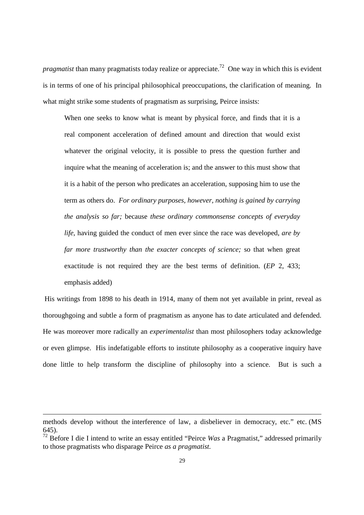*pragmatist* than many pragmatists today realize or appreciate.<sup>72</sup> One way in which this is evident is in terms of one of his principal philosophical preoccupations, the clarification of meaning. In what might strike some students of pragmatism as surprising, Peirce insists:

When one seeks to know what is meant by physical force, and finds that it is a real component acceleration of defined amount and direction that would exist whatever the original velocity, it is possible to press the question further and inquire what the meaning of acceleration is; and the answer to this must show that it is a habit of the person who predicates an acceleration, supposing him to use the term as others do. *For ordinary purposes, however, nothing is gained by carrying the analysis so far;* because *these ordinary commonsense concepts of everyday life,* having guided the conduct of men ever since the race was developed, *are by far more trustworthy than the exacter concepts of science;* so that when great exactitude is not required they are the best terms of definition. (*EP* 2, 433; emphasis added)

 His writings from 1898 to his death in 1914, many of them not yet available in print, reveal as thoroughgoing and subtle a form of pragmatism as anyone has to date articulated and defended. He was moreover more radically an *experimentalist* than most philosophers today acknowledge or even glimpse. His indefatigable efforts to institute philosophy as a cooperative inquiry have done little to help transform the discipline of philosophy into a science. But is such a

methods develop without the interference of law, a disbeliever in democracy, etc." etc. (MS 645).

<sup>72</sup> Before I die I intend to write an essay entitled "Peirce *Was* a Pragmatist," addressed primarily to those pragmatists who disparage Peirce *as a pragmatist.*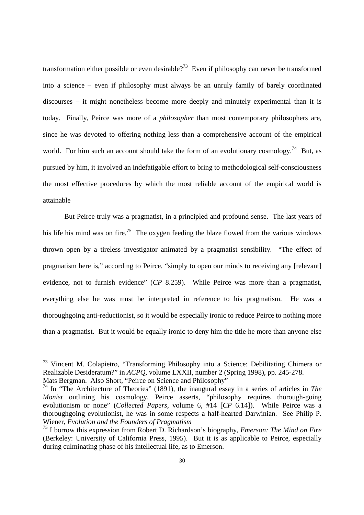transformation either possible or even desirable?<sup>73</sup> Even if philosophy can never be transformed into a science – even if philosophy must always be an unruly family of barely coordinated discourses – it might nonetheless become more deeply and minutely experimental than it is today. Finally, Peirce was more of a *philosopher* than most contemporary philosophers are, since he was devoted to offering nothing less than a comprehensive account of the empirical world. For him such an account should take the form of an evolutionary cosmology.<sup>74</sup> But, as pursued by him, it involved an indefatigable effort to bring to methodological self-consciousness the most effective procedures by which the most reliable account of the empirical world is attainable

But Peirce truly was a pragmatist, in a principled and profound sense. The last years of his life his mind was on fire.<sup>75</sup> The oxygen feeding the blaze flowed from the various windows thrown open by a tireless investigator animated by a pragmatist sensibility. "The effect of pragmatism here is," according to Peirce, "simply to open our minds to receiving any [relevant] evidence, not to furnish evidence" (*CP* 8.259). While Peirce was more than a pragmatist, everything else he was must be interpreted in reference to his pragmatism. He was a thoroughgoing anti-reductionist, so it would be especially ironic to reduce Peirce to nothing more than a pragmatist. But it would be equally ironic to deny him the title he more than anyone else

<sup>73</sup> Vincent M. Colapietro, "Transforming Philosophy into a Science: Debilitating Chimera or Realizable Desideratum?" in *ACPQ*, volume LXXII, number 2 (Spring 1998), pp. 245-278. Mats Bergman. Also Short, "Peirce on Science and Philosophy"

<sup>74</sup> In "The Architecture of Theories" (1891), the inaugural essay in a series of articles in *The Monist* outlining his cosmology, Peirce asserts, "philosophy requires thorough-going evolutionism or none" (*Collected Papers,* volume 6, #14 [*CP* 6.14]). While Peirce was a thoroughgoing evolutionist, he was in some respects a half-hearted Darwinian. See Philip P. Wiener, *Evolution and the Founders of Pragmatism*

<sup>75</sup> I borrow this expression from Robert D. Richardson's biography, *Emerson: The Mind on Fire* (Berkeley: University of California Press, 1995). But it is as applicable to Peirce, especially during culminating phase of his intellectual life, as to Emerson.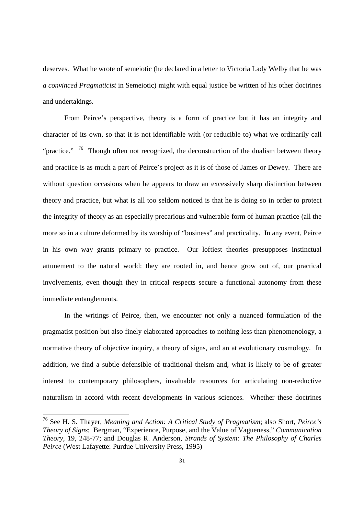deserves. What he wrote of semeiotic (he declared in a letter to Victoria Lady Welby that he was *a convinced Pragmaticist* in Semeiotic) might with equal justice be written of his other doctrines and undertakings.

From Peirce's perspective, theory is a form of practice but it has an integrity and character of its own, so that it is not identifiable with (or reducible to) what we ordinarily call "practice." <sup>76</sup> Though often not recognized, the deconstruction of the dualism between theory and practice is as much a part of Peirce's project as it is of those of James or Dewey. There are without question occasions when he appears to draw an excessively sharp distinction between theory and practice, but what is all too seldom noticed is that he is doing so in order to protect the integrity of theory as an especially precarious and vulnerable form of human practice (all the more so in a culture deformed by its worship of "business" and practicality. In any event, Peirce in his own way grants primary to practice. Our loftiest theories presupposes instinctual attunement to the natural world: they are rooted in, and hence grow out of, our practical involvements, even though they in critical respects secure a functional autonomy from these immediate entanglements.

In the writings of Peirce, then, we encounter not only a nuanced formulation of the pragmatist position but also finely elaborated approaches to nothing less than phenomenology, a normative theory of objective inquiry, a theory of signs, and an at evolutionary cosmology. In addition, we find a subtle defensible of traditional theism and, what is likely to be of greater interest to contemporary philosophers, invaluable resources for articulating non-reductive naturalism in accord with recent developments in various sciences. Whether these doctrines

<sup>76</sup> See H. S. Thayer, *Meaning and Action: A Critical Study of Pragmatism*; also Short, *Peirce's Theory of Signs*; Bergman, "Experience, Purpose, and the Value of Vagueness," *Communication Theory,* 19, 248-77; and Douglas R. Anderson, *Strands of System: The Philosophy of Charles Peirce* (West Lafayette: Purdue University Press, 1995)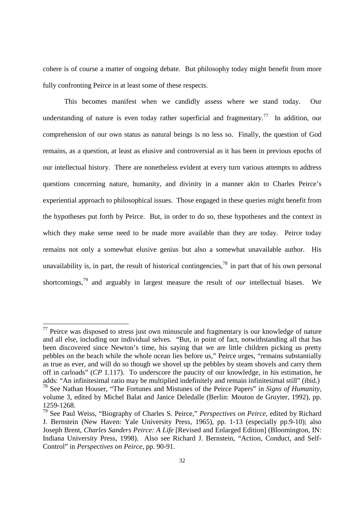cohere is of course a matter of ongoing debate. But philosophy today might benefit from more fully confronting Peirce in at least some of these respects.

This becomes manifest when we candidly assess where we stand today. Our understanding of nature is even today rather superficial and fragmentary.<sup>77</sup> In addition, our comprehension of our own status as natural beings is no less so. Finally, the question of God remains, as a question, at least as elusive and controversial as it has been in previous epochs of our intellectual history. There are nonetheless evident at every turn various attempts to address questions concerning nature, humanity, and divinity in a manner akin to Charles Peirce's experiential approach to philosophical issues. Those engaged in these queries might benefit from the hypotheses put forth by Peirce. But, in order to do so, these hypotheses and the context in which they make sense need to be made more available than they are today. Peirce today remains not only a somewhat elusive genius but also a somewhat unavailable author. His unavailability is, in part, the result of historical contingencies,<sup>78</sup> in part that of his own personal shortcomings,<sup>79</sup> and arguably in largest measure the result of *our* intellectual biases. We

 $77$  Peirce was disposed to stress just own minuscule and fragmentary is our knowledge of nature and all else, including our individual selves. "But, in point of fact, notwithstanding all that has been discovered since Newton's time, his saying that we are little children picking us pretty pebbles on the beach while the whole ocean lies before us," Peirce urges, "remains substantially as true as ever, and will do so though we shovel up the pebbles by steam shovels and carry them off in carloads" (*CP* 1.117). To underscore the paucity of our knowledge, in his estimation, he adds: "An infinitesimal ratio may be multiplied indefinitely and remain infinitesimal still" (ibid.) <sup>78</sup> See Nathan Houser, "The Fortunes and Mistunes of the Peirce Papers" in *Signs of Humanity*, volume 3, edited by Michel Balat and Janice Deledalle (Berlin: Mouton de Gruyter, 1992), pp. 1259-1268.

<sup>79</sup> See Paul Weiss, "Biography of Charles S. Peirce," *Perspectives on Peirce,* edited by Richard J. Bernstein (New Haven: Yale University Press, 1965), pp. 1-13 (especially pp.9-10); also Joseph Brent, *Charles Sanders Peirce: A Life* [Revised and Enlarged Edition] (Bloomington, IN: Indiana University Press, 1998). Also see Richard J. Bernstein, "Action, Conduct, and Self-Control" in *Perspectives on Peirce,* pp. 90-91.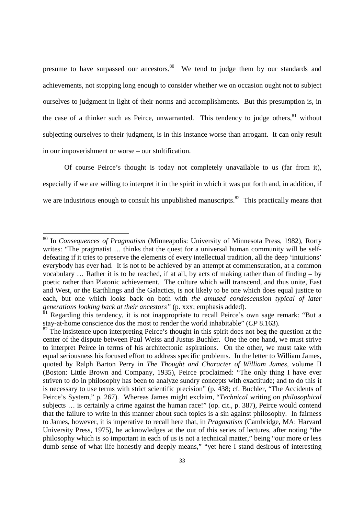presume to have surpassed our ancestors.<sup>80</sup> We tend to judge them by our standards and achievements, not stopping long enough to consider whether we on occasion ought not to subject ourselves to judgment in light of their norms and accomplishments. But this presumption is, in the case of a thinker such as Peirce, unwarranted. This tendency to judge others, <sup>81</sup> without subjecting ourselves to their judgment, is in this instance worse than arrogant. It can only result in our impoverishment or worse – our stultification.

Of course Peirce's thought is today not completely unavailable to us (far from it), especially if we are willing to interpret it in the spirit in which it was put forth and, in addition, if we are industrious enough to consult his unpublished manuscripts.<sup>82</sup> This practically means that

l,

<sup>80</sup> In *Consequences of Pragmatism* (Minneapolis: University of Minnesota Press, 1982)*,* Rorty writes: "The pragmatist ... thinks that the quest for a universal human community will be selfdefeating if it tries to preserve the elements of every intellectual tradition, all the deep 'intuitions' everybody has ever had. It is not to be achieved by an attempt at commensuration, at a common vocabulary … Rather it is to be reached, if at all, by acts of making rather than of finding – by poetic rather than Platonic achievement. The culture which will transcend, and thus unite, East and West, or the Earthlings and the Galactics, is not likely to be one which does equal justice to each, but one which looks back on both with *the amused condescension typical of later generations looking back at their ancestors"* (p. xxx; emphasis added).

 $81$  Regarding this tendency, it is not inappropriate to recall Peirce's own sage remark: "But a stay-at-home conscience dos the most to render the world inhabitable" (*CP* 8.163).

 $82$  The insistence upon interpreting Peirce's thought in this spirit does not beg the question at the center of the dispute between Paul Weiss and Justus Buchler. One the one hand, we must strive to interpret Peirce in terms of his architectonic aspirations. On the other, we must take with equal seriousness his focused effort to address specific problems. In the letter to William James, quoted by Ralph Barton Perry in *The Thought and Character of William James,* volume II (Boston: Little Brown and Company, 1935), Peirce proclaimed: "The only thing I have ever striven to do in philosophy has been to analyze sundry concepts with exactitude; and to do this it is necessary to use terms with strict scientific precision" (p. 438; cf. Buchler, "The Accidents of Peirce's System," p. 267). Whereas James might exclaim, "*Technical* writing on *philosophical* subjects … is certainly a crime against the human race!" (op. cit., p. 387), Peirce would contend that the failure to write in this manner about such topics is a sin against philosophy. In fairness to James, however, it is imperative to recall here that, in *Pragmatism* (Cambridge, MA: Harvard University Press, 1975), he acknowledges at the out of this series of lectures, after noting "the philosophy which is so important in each of us is not a technical matter," being "our more or less dumb sense of what life honestly and deeply means," "yet here I stand desirous of interesting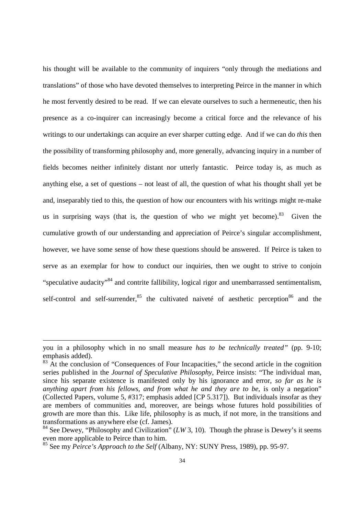his thought will be available to the community of inquirers "only through the mediations and translations" of those who have devoted themselves to interpreting Peirce in the manner in which he most fervently desired to be read. If we can elevate ourselves to such a hermeneutic, then his presence as a co-inquirer can increasingly become a critical force and the relevance of his writings to our undertakings can acquire an ever sharper cutting edge. And if we can do *this* then the possibility of transforming philosophy and, more generally, advancing inquiry in a number of fields becomes neither infinitely distant nor utterly fantastic. Peirce today is, as much as anything else, a set of questions – not least of all, the question of what his thought shall yet be and, inseparably tied to this, the question of how our encounters with his writings might re-make us in surprising ways (that is, the question of who *we* might yet become).<sup>83</sup> Given the cumulative growth of our understanding and appreciation of Peirce's singular accomplishment, however, we have some sense of how these questions should be answered. If Peirce is taken to serve as an exemplar for how to conduct our inquiries, then we ought to strive to conjoin "speculative audacity"<sup>84</sup> and contrite fallibility, logical rigor and unembarrassed sentimentalism, self-control and self-surrender, $85$  the cultivated naiveté of aesthetic perception  $86$  and the

you in a philosophy which in no small measure *has to be technically treated"* (pp. 9-10; emphasis added).

<sup>&</sup>lt;sup>83</sup> At the conclusion of "Consequences of Four Incapacities," the second article in the cognition series published in the *Journal of Speculative Philosophy,* Peirce insists: "The individual man, since his separate existence is manifested only by his ignorance and error, *so far as he is anything apart from his fellows, and from what he and they are to be,* is only a negation" (Collected Papers, volume 5, #317; emphasis added [CP 5.317]). But individuals insofar as they are members of communities and, moreover, are beings whose futures hold possibilities of growth are more than this. Like life, philosophy is as much, if not more, in the transitions and transformations as anywhere else (cf. James).

<sup>&</sup>lt;sup>84</sup> See Dewey, "Philosophy and Civilization" ( $LW$ 3, 10). Though the phrase is Dewey's it seems even more applicable to Peirce than to him.

<sup>85</sup> See my *Peirce's Approach to the Self* (Albany, NY: SUNY Press, 1989), pp. 95-97.